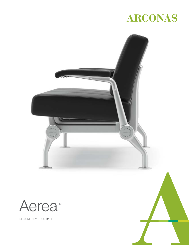# ARCONAS

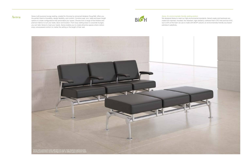



 $\rm Aera$  erea multi-purpose lounge seating, created for Arconas by renowned designer Doug Ball, offers you the perfect blend of durability, design flexibility, and comfort. Combine seat, arm, table and beam length options to create configurations that personalize your space. Choose from a range of fine finishes and premium fabrics to suit your taste, decor and location. From busy waiting areas to corporate lounges, you can tailor Aerea to meet your needs. Aerea enables you to create attractive spaces where visitors enjoy unsurpassed comfort no matter the setting or the length of their wait.



#### Aerea: An environmentally friendly seating solution

We designed Aerea to meet our high environmental standards. Aerea's seats and backrests are made from injected, moulded, fire-retardant, high-resiliency urethane that's CFC-free and low-VOC. Up to 20% of the foam we use is made with BiOH® polyols–an environmentally friendly soy-based petroleum substitute.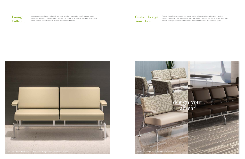

### Lounge Collection

Custom Design Your Own

Aerea lounge seating is available in standard armchair, loveseat and sofa configurations. Ottoman, two- and three-seat bench units and a coffee table are also available. Silver frame finish enables Aerea seating to easily fit into modern interiors.

Aerea's highly flexible, component-based system allows you to create custom seating configurations that meet your needs. Combine different seat widths, arms, tables, and other options to suit your specific requirements for comfort capacity and personal space.

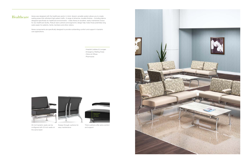$\rm{Healthcar}$  Aerea was designed with the healthcare sector in mind. Aerea's versatile system allows you to create  $\rm{Headr}$ designed specifically for healthcare environments – make Aerea an excellent, easily maintained choice for any healthcare facility. Robust seat cushions and ergonomic design help make those potentially long waits easier for patients, family members and other visitors.

> Aerea components are specifically designed to provide outstanding comfort and support in bariatric care applications.

> > . Hospital Lobbies & Lounges . Emergency Waiting Areas . Clinics & Offices . Pharmacies







Sweep-through cushions for easy maintenance

Thick cushions offer extra comfort and support



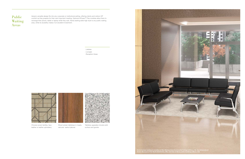

### Public Waiting Areas

Aerea's versatile design fits into any corporate or institutional setting, offering clients and visitors VIP comfort as they prepare for their next important meeting. Optional inPower™ Flex modules allow them to recharge their phone, tablet or laptop while they wait. Aerea seating adds high style to any public waiting area, while its durability makes it an excellent investment.

Choose woven textiles, faux leather or leather upholstery Wood veneer tabletops in maple, oak and walnut (above)

Tabletop upgrades include solid surface and granite

. Lobbies . Lounges . Reception Areas





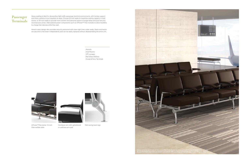inPower™Flex below 13-inch intermediate table

Cantilever arm with upholstered or urethane arm pad



Wall-saving back legs

### Passenger **Terminals**



Aerea seating is ideal for demanding high-traffic passenger terminal environments, with lumbar support and thick cushions to put travellers at ease. Choose 22-inch seats to maximize seating capacity in hold rooms, or 30-inch seats to provide more comfort and personal space in lounge areas and post-security recomposure zones. Add optional power components such as inPower™ Flex modules to allow travellers to charge their devices while they wait.

Aerea's open design also provides security personnel with clear sight lines under seats. Seats and backs are secured to the beam independently and can be easily replaced without disassembling the entire unit.

> . Airports . Hold Rooms . VIP Lounges . Rail & Bus Stations . Cruise & Ferry Terminals